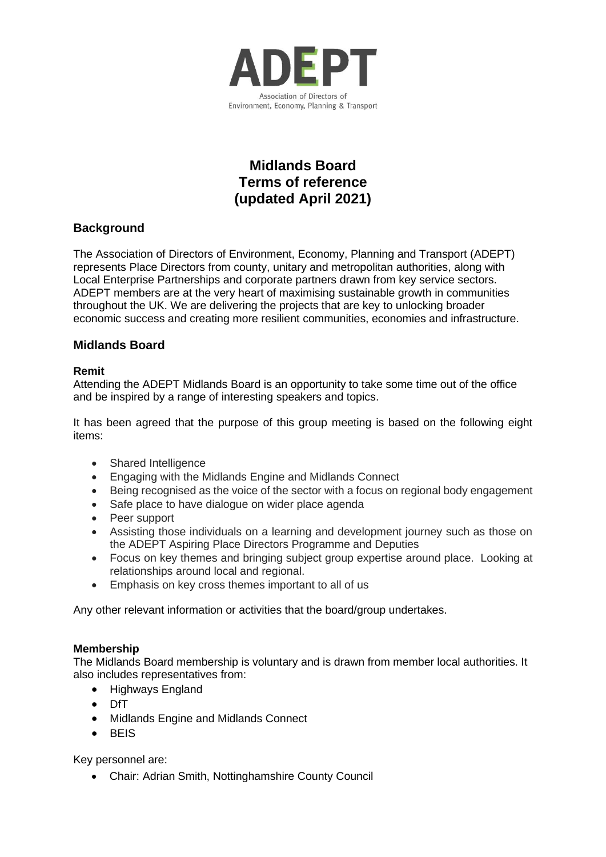

# **Midlands Board Terms of reference (updated April 2021)**

## **Background**

The Association of Directors of Environment, Economy, Planning and Transport (ADEPT) represents Place Directors from county, unitary and metropolitan authorities, along with Local Enterprise Partnerships and corporate partners drawn from key service sectors. ADEPT members are at the very heart of maximising sustainable growth in communities throughout the UK. We are delivering the projects that are key to unlocking broader economic success and creating more resilient communities, economies and infrastructure.

## **Midlands Board**

### **Remit**

Attending the ADEPT Midlands Board is an opportunity to take some time out of the office and be inspired by a range of interesting speakers and topics.

It has been agreed that the purpose of this group meeting is based on the following eight items:

- Shared Intelligence
- Engaging with the Midlands Engine and Midlands Connect
- Being recognised as the voice of the sector with a focus on regional body engagement
- Safe place to have dialogue on wider place agenda
- Peer support
- Assisting those individuals on a learning and development journey such as those on the ADEPT Aspiring Place Directors Programme and Deputies
- Focus on key themes and bringing subject group expertise around place. Looking at relationships around local and regional.
- Emphasis on key cross themes important to all of us

Any other relevant information or activities that the board/group undertakes.

### **Membership**

The Midlands Board membership is voluntary and is drawn from member local authorities. It also includes representatives from:

- Highways England
- DfT
- Midlands Engine and Midlands Connect
- BEIS

Key personnel are:

• Chair: Adrian Smith, Nottinghamshire County Council